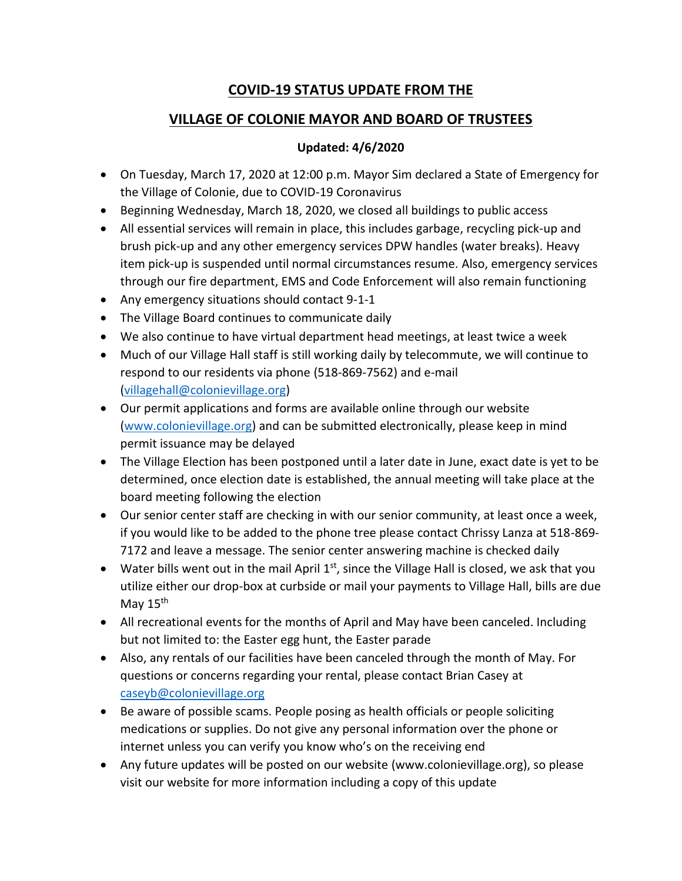## **COVID-19 STATUS UPDATE FROM THE**

## **VILLAGE OF COLONIE MAYOR AND BOARD OF TRUSTEES**

## **Updated: 4/6/2020**

- On Tuesday, March 17, 2020 at 12:00 p.m. Mayor Sim declared a State of Emergency for the Village of Colonie, due to COVID-19 Coronavirus
- Beginning Wednesday, March 18, 2020, we closed all buildings to public access
- All essential services will remain in place, this includes garbage, recycling pick-up and brush pick-up and any other emergency services DPW handles (water breaks). Heavy item pick-up is suspended until normal circumstances resume. Also, emergency services through our fire department, EMS and Code Enforcement will also remain functioning
- Any emergency situations should contact 9-1-1
- The Village Board continues to communicate daily
- We also continue to have virtual department head meetings, at least twice a week
- Much of our Village Hall staff is still working daily by telecommute, we will continue to respond to our residents via phone (518-869-7562) and e-mail [\(villagehall@colonievillage.org\)](mailto:villagehall@colonievillage.org)
- Our permit applications and forms are available online through our website [\(www.colonievillage.org\)](http://www.colonievillage.org/) and can be submitted electronically, please keep in mind permit issuance may be delayed
- The Village Election has been postponed until a later date in June, exact date is yet to be determined, once election date is established, the annual meeting will take place at the board meeting following the election
- Our senior center staff are checking in with our senior community, at least once a week, if you would like to be added to the phone tree please contact Chrissy Lanza at 518-869- 7172 and leave a message. The senior center answering machine is checked daily
- Water bills went out in the mail April  $1<sup>st</sup>$ , since the Village Hall is closed, we ask that you utilize either our drop-box at curbside or mail your payments to Village Hall, bills are due May 15<sup>th</sup>
- All recreational events for the months of April and May have been canceled. Including but not limited to: the Easter egg hunt, the Easter parade
- Also, any rentals of our facilities have been canceled through the month of May. For questions or concerns regarding your rental, please contact Brian Casey at [caseyb@colonievillage.org](mailto:caseyb@colonievillage.org)
- Be aware of possible scams. People posing as health officials or people soliciting medications or supplies. Do not give any personal information over the phone or internet unless you can verify you know who's on the receiving end
- Any future updates will be posted on our website (www.colonievillage.org), so please visit our website for more information including a copy of this update